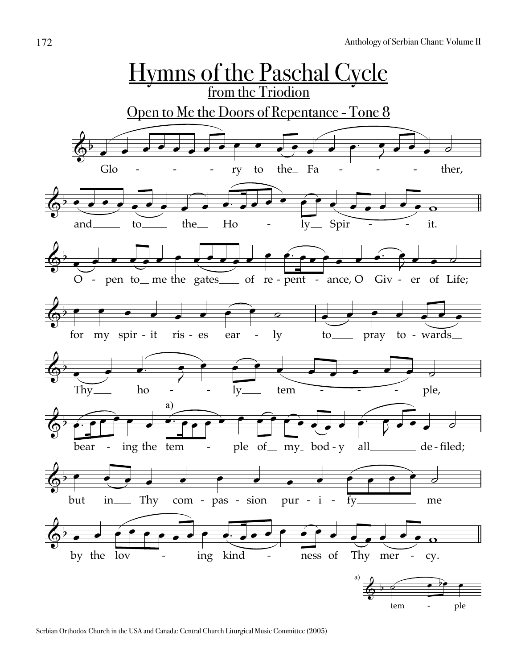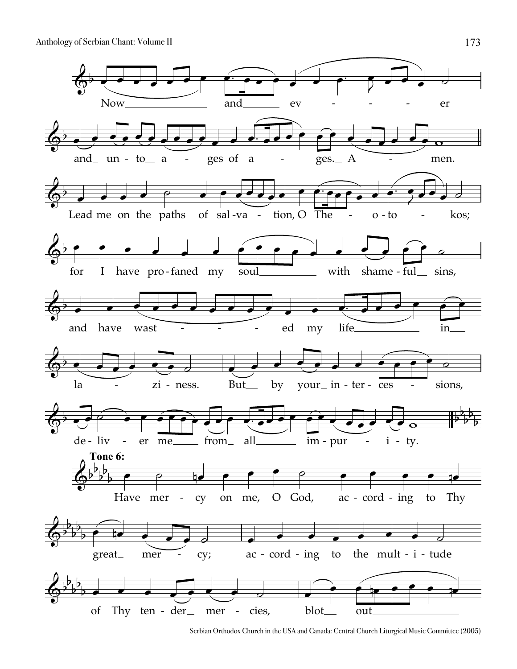Anthology of Serbian Chant: Volume II



Serbian Orthodox Church in the USA and Canada: Central Church Liturgical Music Committee (2005)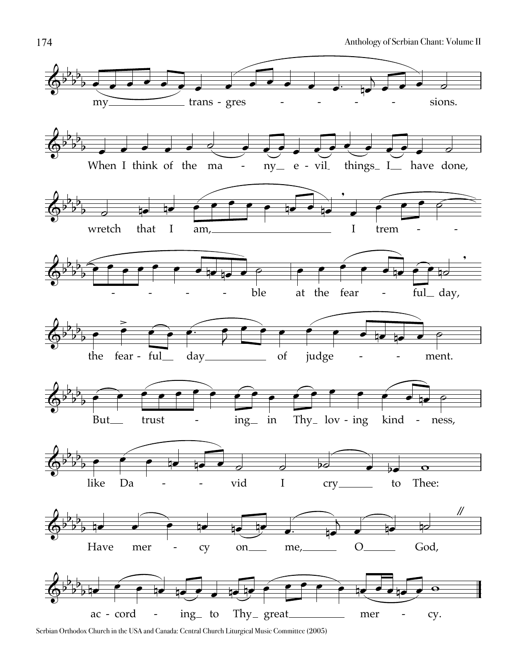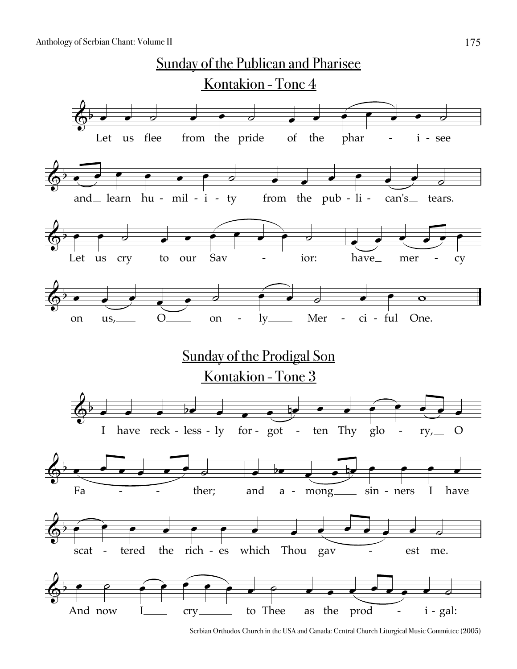

Serbian Orthodox Church in the USA and Canada: Central Church Liturgical Music Committee (2005)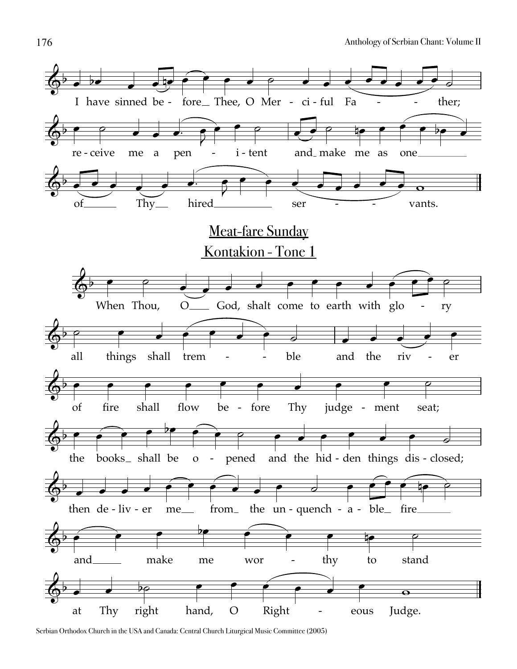

Serbian Orthodox Church in the USA and Canada: Central Church Liturgical Music Committee (2005)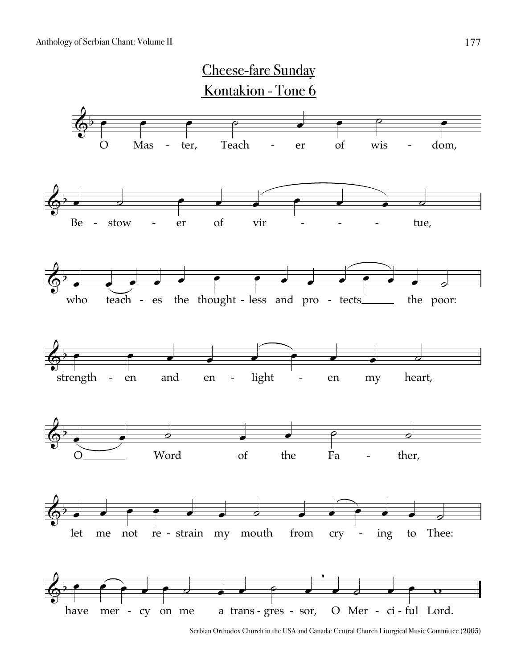

Serbian Orthodox Church in the USA and Canada: Central Church Liturgical Music Committee (2005)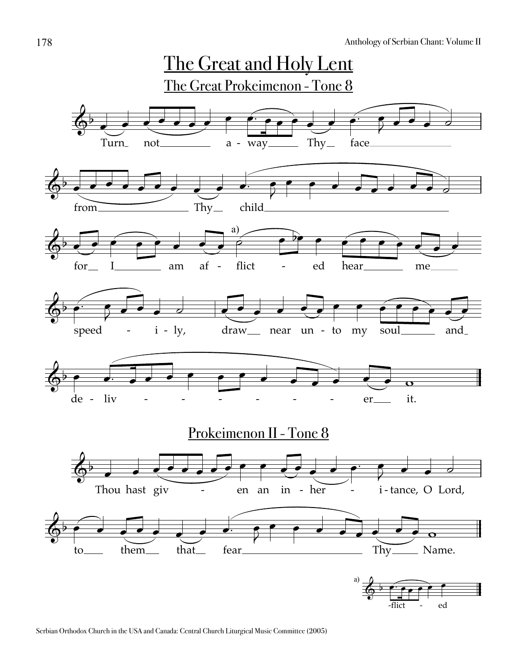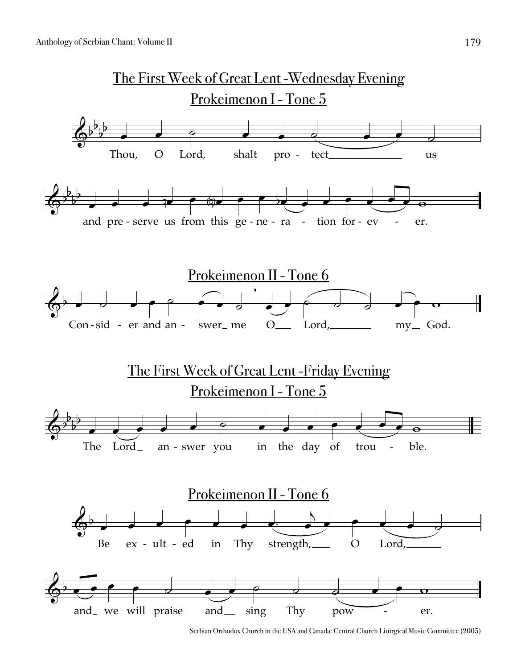

Serbian Orthodox Church in the USA and Canada: Central Church Liturgical Music Committee (2005)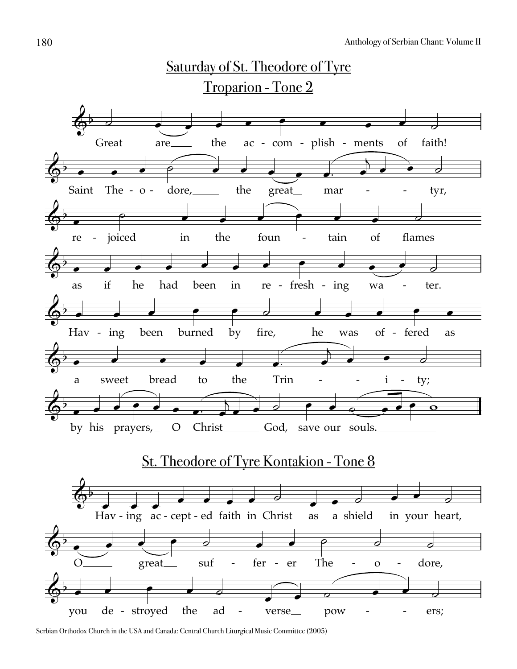

Serbian Orthodox Church in the USA and Canada: Central Church Liturgical Music Committee (2005)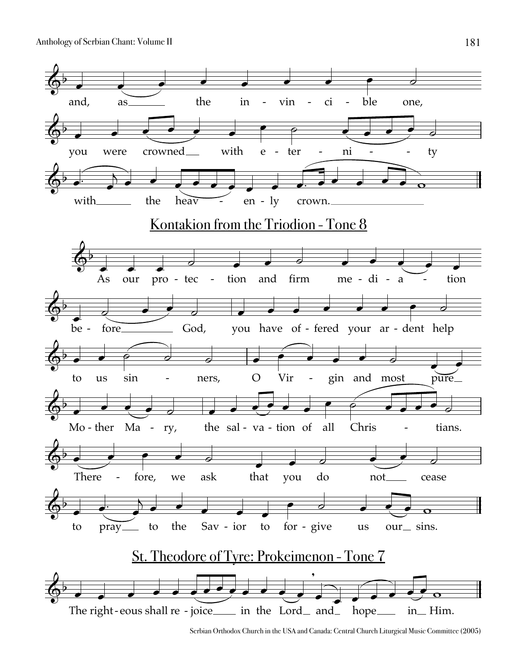Anthology of Serbian Chant: Volume II



Serbian Orthodox Church in the USA and Canada: Central Church Liturgical Music Committee (2005)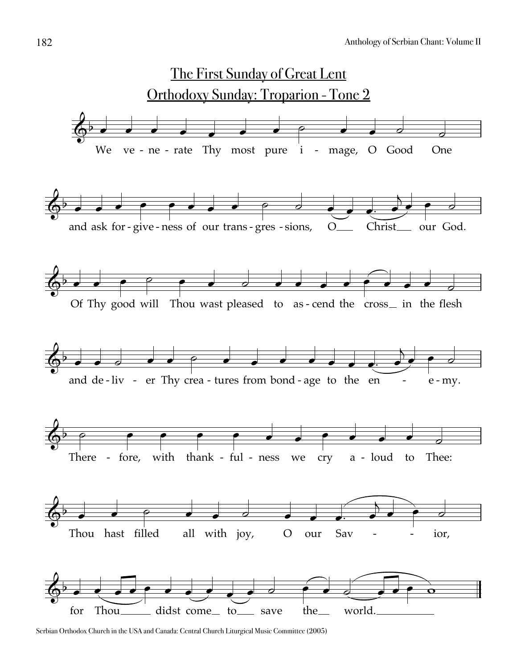

Serbian Orthodox Church in the USA and Canada: Central Church Liturgical Music Committee (2005)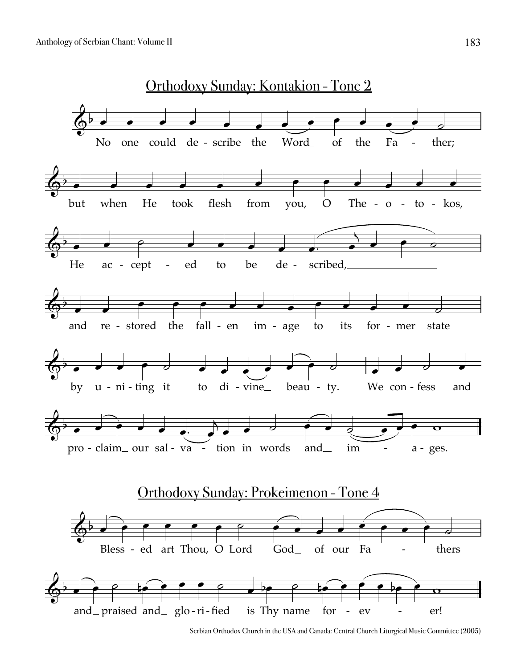

Serbian Orthodox Church in the USA and Canada: Central Church Liturgical Music Committee (2005)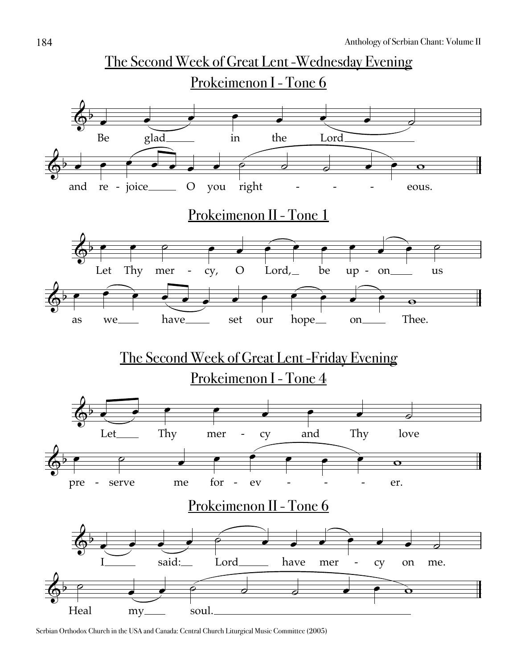

Serbian Orthodox Church in the USA and Canada: Central Church Liturgical Music Committee (2005)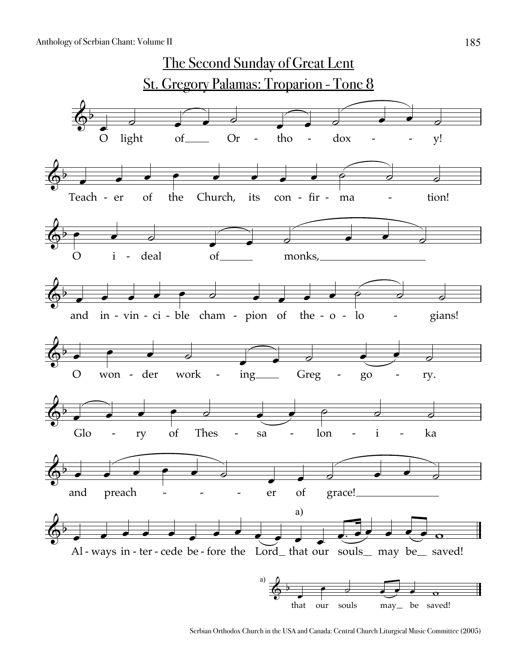

Serbian Orthodox Church in the USA and Canada: Central Church Liturgical Music Committee (2005)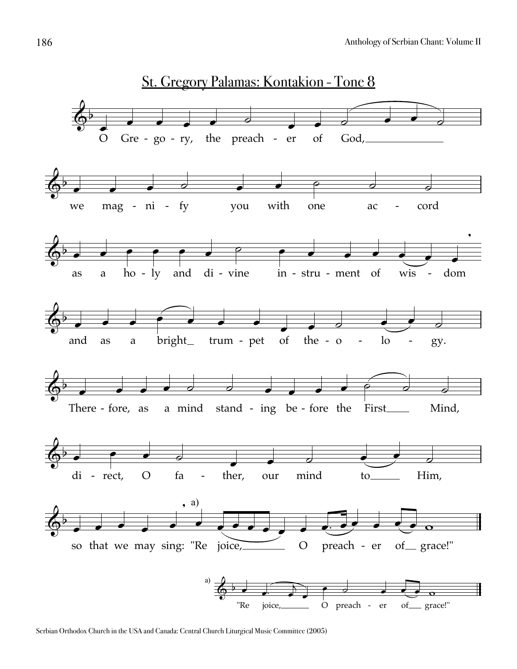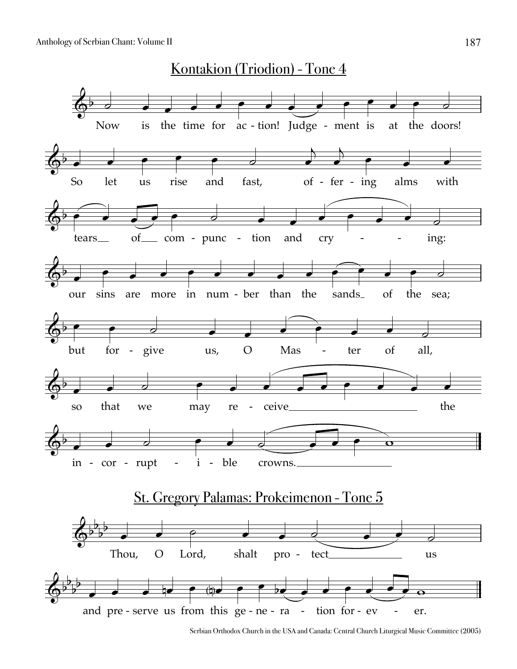

Serbian Orthodox Church in the USA and Canada: Central Church Liturgical Music Committee (2005)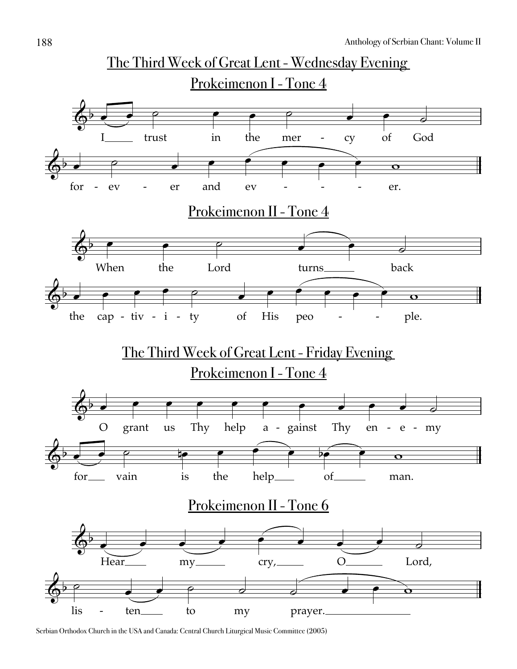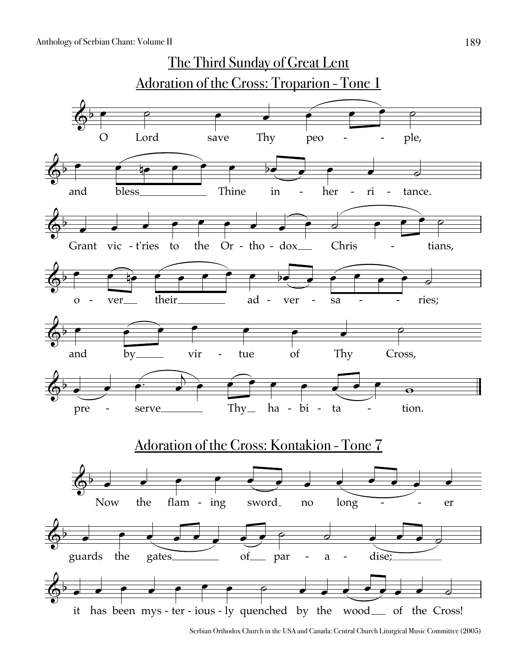

Serbian Orthodox Church in the USA and Canada: Central Church Liturgical Music Committee (2005)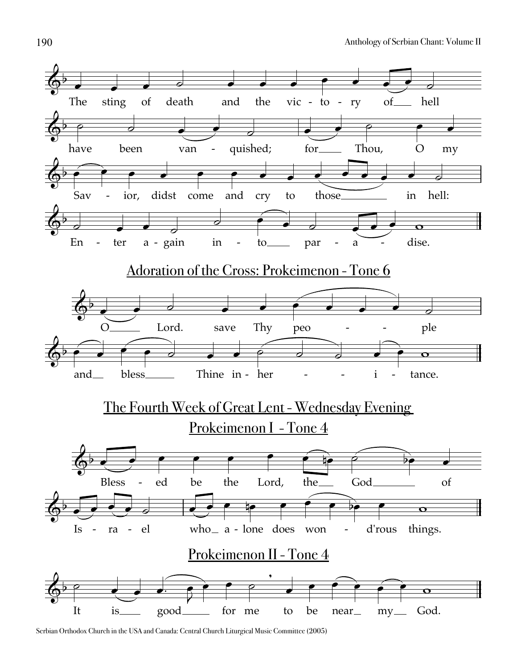

Serbian Orthodox Church in the USA and Canada: Central Church Liturgical Music Committee (2005)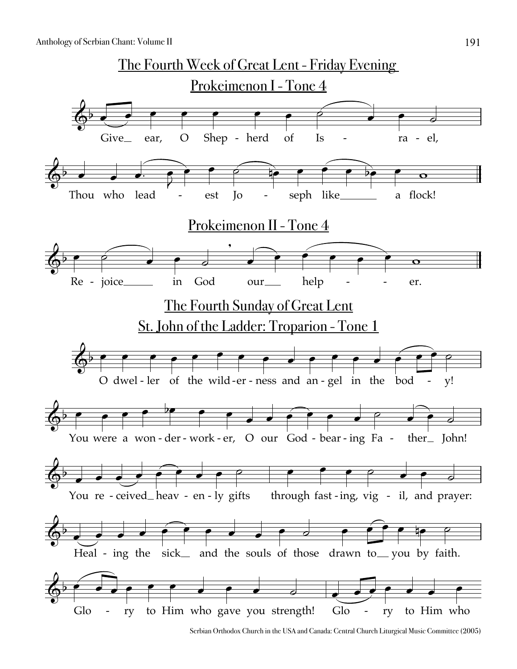![](_page_19_Figure_1.jpeg)

Serbian Orthodox Church in the USA and Canada: Central Church Liturgical Music Committee (2005)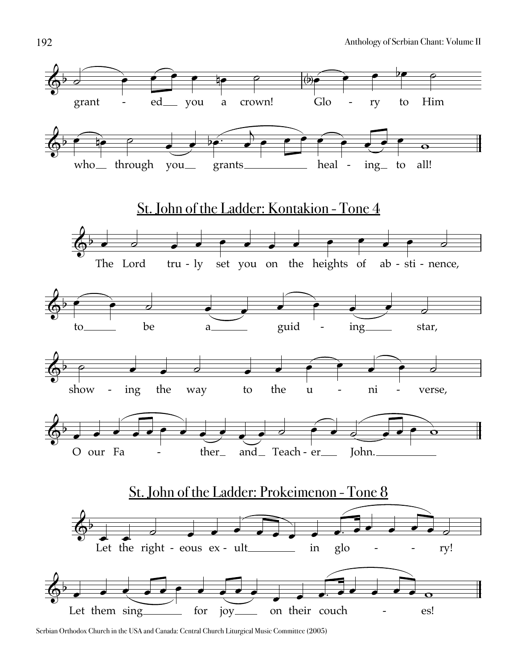![](_page_20_Figure_1.jpeg)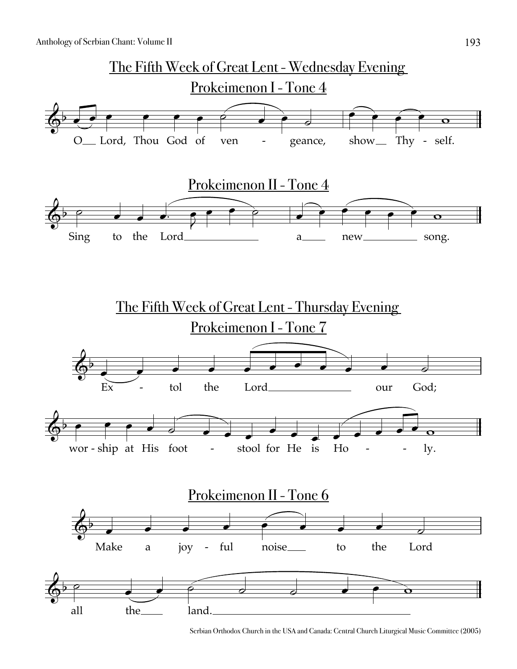![](_page_21_Figure_1.jpeg)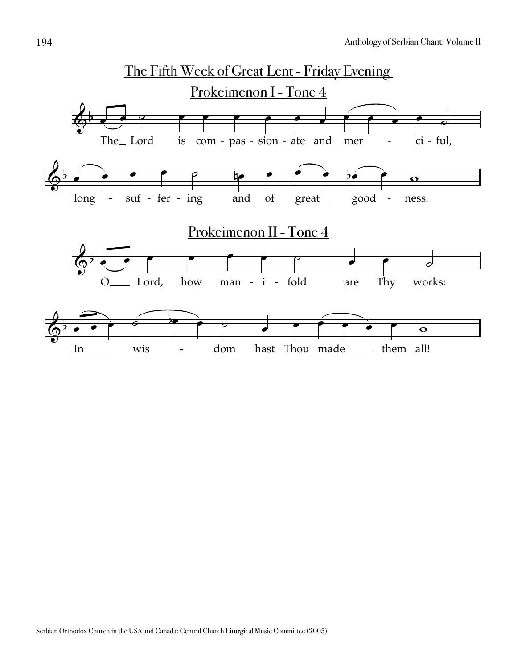![](_page_22_Figure_1.jpeg)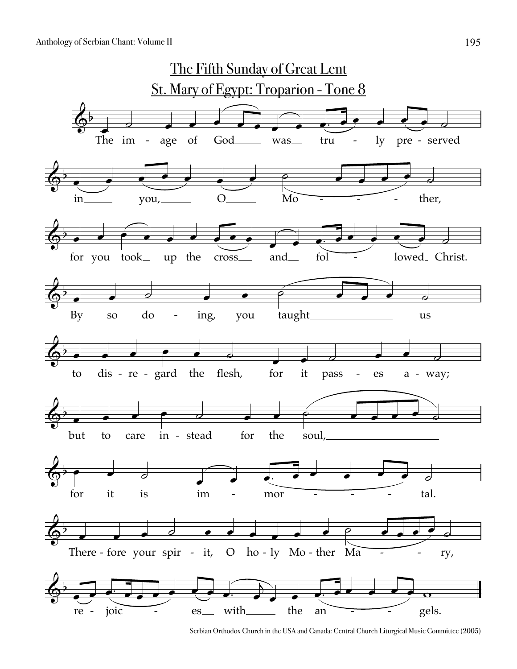![](_page_23_Figure_1.jpeg)

Serbian Orthodox Church in the USA and Canada: Central Church Liturgical Music Committee (2005)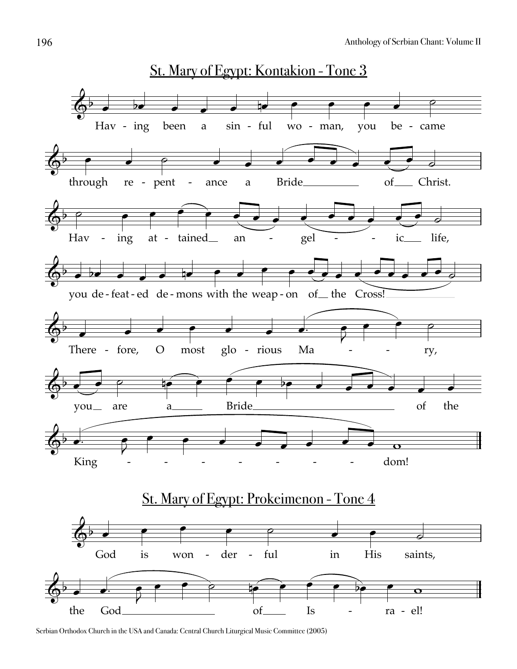![](_page_24_Figure_1.jpeg)

Serbian Orthodox Church in the USA and Canada: Central Church Liturgical Music Committee (2005)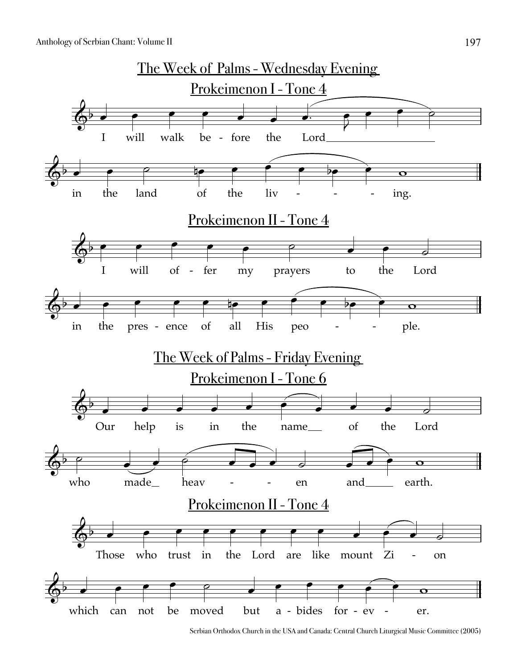![](_page_25_Figure_1.jpeg)

Serbian Orthodox Church in the USA and Canada: Central Church Liturgical Music Committee (2005)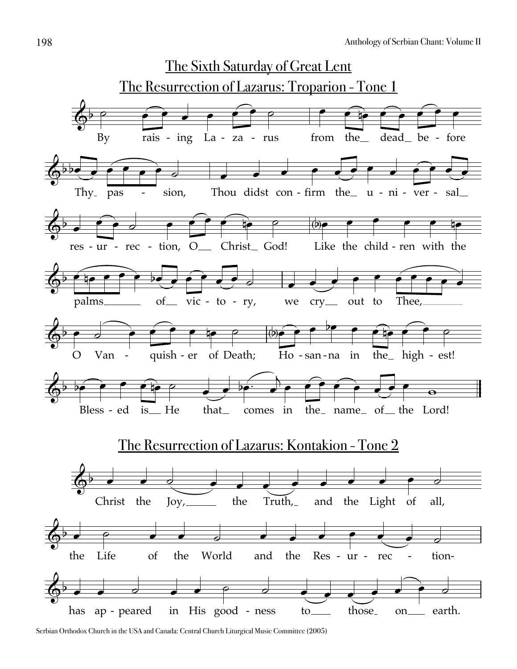![](_page_26_Figure_1.jpeg)